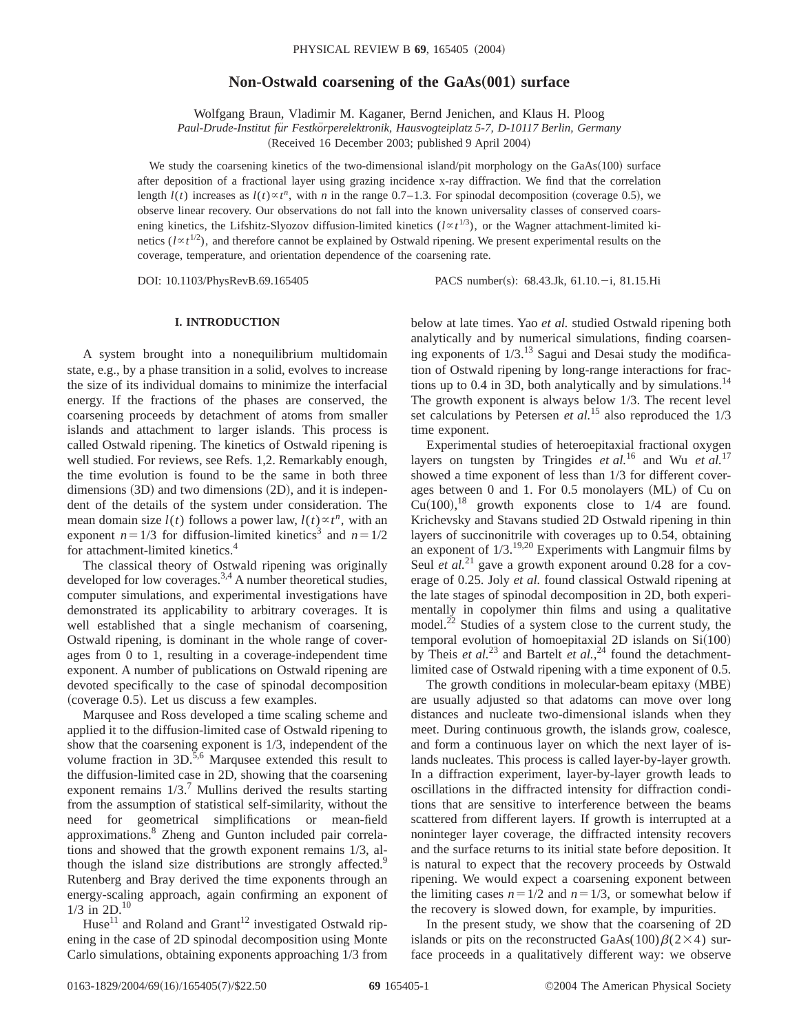# **Non-Ostwald coarsening of the GaAs(001) surface**

Wolfgang Braun, Vladimir M. Kaganer, Bernd Jenichen, and Klaus H. Ploog

*Paul-Drude-Institut fu¨r Festko¨rperelektronik, Hausvogteiplatz 5-7, D-10117 Berlin, Germany*

(Received 16 December 2003; published 9 April 2004)

We study the coarsening kinetics of the two-dimensional island/pit morphology on the  $GaAs(100)$  surface after deposition of a fractional layer using grazing incidence x-ray diffraction. We find that the correlation length  $l(t)$  increases as  $l(t) \propto t^n$ , with *n* in the range 0.7–1.3. For spinodal decomposition (coverage 0.5), we observe linear recovery. Our observations do not fall into the known universality classes of conserved coarsening kinetics, the Lifshitz-Slyozov diffusion-limited kinetics  $(l \propto t^{1/3})$ , or the Wagner attachment-limited kinetics ( $l \propto t^{1/2}$ ), and therefore cannot be explained by Ostwald ripening. We present experimental results on the coverage, temperature, and orientation dependence of the coarsening rate.

DOI: 10.1103/PhysRevB.69.165405 PACS number(s): 68.43.Jk, 61.10.-i, 81.15.Hi

# **I. INTRODUCTION**

A system brought into a nonequilibrium multidomain state, e.g., by a phase transition in a solid, evolves to increase the size of its individual domains to minimize the interfacial energy. If the fractions of the phases are conserved, the coarsening proceeds by detachment of atoms from smaller islands and attachment to larger islands. This process is called Ostwald ripening. The kinetics of Ostwald ripening is well studied. For reviews, see Refs. 1,2. Remarkably enough, the time evolution is found to be the same in both three dimensions  $(3D)$  and two dimensions  $(2D)$ , and it is independent of the details of the system under consideration. The mean domain size  $l(t)$  follows a power law,  $l(t) \propto t^n$ , with an exponent  $n=1/3$  for diffusion-limited kinetics<sup>3</sup> and  $n=1/2$ for attachment-limited kinetics.4

The classical theory of Ostwald ripening was originally developed for low coverages.<sup>3,4</sup> A number theoretical studies, computer simulations, and experimental investigations have demonstrated its applicability to arbitrary coverages. It is well established that a single mechanism of coarsening, Ostwald ripening, is dominant in the whole range of coverages from 0 to 1, resulting in a coverage-independent time exponent. A number of publications on Ostwald ripening are devoted specifically to the case of spinodal decomposition  $(coverage 0.5)$ . Let us discuss a few examples.

Marqusee and Ross developed a time scaling scheme and applied it to the diffusion-limited case of Ostwald ripening to show that the coarsening exponent is 1/3, independent of the volume fraction in 3D.<sup>5,6</sup> Marqusee extended this result to the diffusion-limited case in 2D, showing that the coarsening exponent remains  $1/3$ .<sup>7</sup> Mullins derived the results starting from the assumption of statistical self-similarity, without the need for geometrical simplifications or mean-field approximations.8 Zheng and Gunton included pair correlations and showed that the growth exponent remains 1/3, although the island size distributions are strongly affected.<sup>9</sup> Rutenberg and Bray derived the time exponents through an energy-scaling approach, again confirming an exponent of  $1/3$  in  $2D^{10}$ 

Huse<sup>11</sup> and Roland and Grant<sup>12</sup> investigated Ostwald ripening in the case of 2D spinodal decomposition using Monte Carlo simulations, obtaining exponents approaching 1/3 from below at late times. Yao *et al.* studied Ostwald ripening both analytically and by numerical simulations, finding coarsening exponents of  $1/3$ .<sup>13</sup> Sagui and Desai study the modification of Ostwald ripening by long-range interactions for fractions up to 0.4 in 3D, both analytically and by simulations. $^{14}$ The growth exponent is always below 1/3. The recent level set calculations by Petersen *et al.*<sup>15</sup> also reproduced the 1/3 time exponent.

Experimental studies of heteroepitaxial fractional oxygen layers on tungsten by Tringides *et al.*<sup>16</sup> and Wu *et al.*<sup>17</sup> showed a time exponent of less than 1/3 for different coverages between  $0$  and  $1$ . For  $0.5$  monolayers  $(ML)$  of Cu on  $Cu(100),$ <sup>18</sup> growth exponents close to  $1/4$  are found. Krichevsky and Stavans studied 2D Ostwald ripening in thin layers of succinonitrile with coverages up to 0.54, obtaining an exponent of  $1/3$ .<sup>19,20</sup> Experiments with Langmuir films by Seul *et al.*<sup>21</sup> gave a growth exponent around 0.28 for a coverage of 0.25. Joly *et al.* found classical Ostwald ripening at the late stages of spinodal decomposition in 2D, both experimentally in copolymer thin films and using a qualitative model.<sup>22</sup> Studies of a system close to the current study, the temporal evolution of homoepitaxial 2D islands on  $Si(100)$ by Theis *et al.*<sup>23</sup> and Bartelt *et al.*,<sup>24</sup> found the detachmentlimited case of Ostwald ripening with a time exponent of 0.5.

The growth conditions in molecular-beam epitaxy (MBE) are usually adjusted so that adatoms can move over long distances and nucleate two-dimensional islands when they meet. During continuous growth, the islands grow, coalesce, and form a continuous layer on which the next layer of islands nucleates. This process is called layer-by-layer growth. In a diffraction experiment, layer-by-layer growth leads to oscillations in the diffracted intensity for diffraction conditions that are sensitive to interference between the beams scattered from different layers. If growth is interrupted at a noninteger layer coverage, the diffracted intensity recovers and the surface returns to its initial state before deposition. It is natural to expect that the recovery proceeds by Ostwald ripening. We would expect a coarsening exponent between the limiting cases  $n=1/2$  and  $n=1/3$ , or somewhat below if the recovery is slowed down, for example, by impurities.

In the present study, we show that the coarsening of 2D islands or pits on the reconstructed GaAs(100) $\beta$ (2×4) surface proceeds in a qualitatively different way: we observe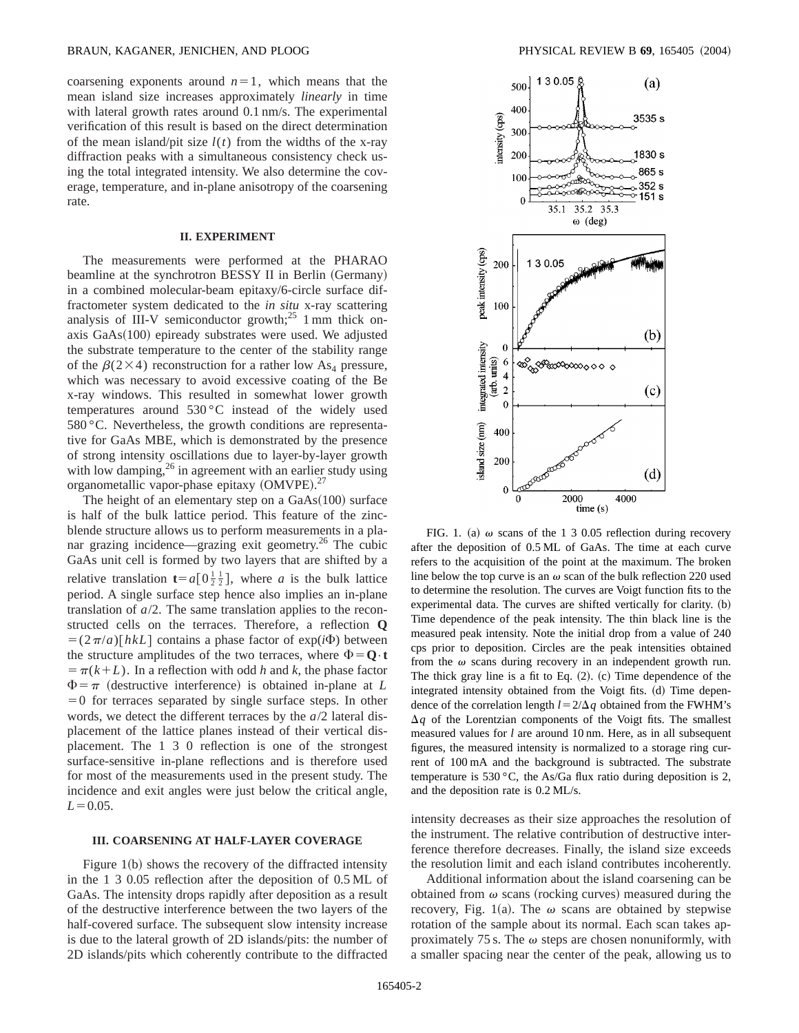coarsening exponents around  $n=1$ , which means that the mean island size increases approximately *linearly* in time with lateral growth rates around 0.1 nm/s. The experimental verification of this result is based on the direct determination of the mean island/pit size  $l(t)$  from the widths of the x-ray diffraction peaks with a simultaneous consistency check using the total integrated intensity. We also determine the coverage, temperature, and in-plane anisotropy of the coarsening rate.

#### **II. EXPERIMENT**

The measurements were performed at the PHARAO beamline at the synchrotron BESSY II in Berlin (Germany) in a combined molecular-beam epitaxy/6-circle surface diffractometer system dedicated to the *in situ* x-ray scattering analysis of III-V semiconductor growth; $^{25}$  1 mm thick onaxis  $GaAs(100)$  epiready substrates were used. We adjusted the substrate temperature to the center of the stability range of the  $\beta(2\times4)$  reconstruction for a rather low As<sub>4</sub> pressure, which was necessary to avoid excessive coating of the Be x-ray windows. This resulted in somewhat lower growth temperatures around  $530\,^{\circ}\text{C}$  instead of the widely used 580 °C. Nevertheless, the growth conditions are representative for GaAs MBE, which is demonstrated by the presence of strong intensity oscillations due to layer-by-layer growth with low damping,  $26$  in agreement with an earlier study using organometallic vapor-phase epitaxy (OMVPE).<sup>27</sup>

The height of an elementary step on a  $GaAs(100)$  surface is half of the bulk lattice period. This feature of the zincblende structure allows us to perform measurements in a planar grazing incidence—grazing exit geometry.<sup>26</sup> The cubic GaAs unit cell is formed by two layers that are shifted by a relative translation  $t = a[0\frac{1}{2}\frac{1}{2}]$ , where *a* is the bulk lattice period. A single surface step hence also implies an in-plane translation of *a*/2. The same translation applies to the reconstructed cells on the terraces. Therefore, a reflection **Q**  $= (2\pi/a) [h k L]$  contains a phase factor of exp(*i* $\Phi$ ) between the structure amplitudes of the two terraces, where  $\Phi = Q \cdot t$  $=$   $\pi(k+L)$ . In a reflection with odd *h* and *k*, the phase factor  $\Phi = \pi$  (destructive interference) is obtained in-plane at *L*  $=0$  for terraces separated by single surface steps. In other words, we detect the different terraces by the *a*/2 lateral displacement of the lattice planes instead of their vertical displacement. The 1 3 0 reflection is one of the strongest surface-sensitive in-plane reflections and is therefore used for most of the measurements used in the present study. The incidence and exit angles were just below the critical angle,  $L = 0.05$ .

## **III. COARSENING AT HALF-LAYER COVERAGE**

Figure  $1(b)$  shows the recovery of the diffracted intensity in the 1 3 0.05 reflection after the deposition of 0.5 ML of GaAs. The intensity drops rapidly after deposition as a result of the destructive interference between the two layers of the half-covered surface. The subsequent slow intensity increase is due to the lateral growth of 2D islands/pits: the number of 2D islands/pits which coherently contribute to the diffracted



FIG. 1. (a)  $\omega$  scans of the 1 3 0.05 reflection during recovery after the deposition of 0.5 ML of GaAs. The time at each curve refers to the acquisition of the point at the maximum. The broken line below the top curve is an  $\omega$  scan of the bulk reflection 220 used to determine the resolution. The curves are Voigt function fits to the experimental data. The curves are shifted vertically for clarity.  $(b)$ Time dependence of the peak intensity. The thin black line is the measured peak intensity. Note the initial drop from a value of 240 cps prior to deposition. Circles are the peak intensities obtained from the  $\omega$  scans during recovery in an independent growth run. The thick gray line is a fit to Eq.  $(2)$ .  $(c)$  Time dependence of the integrated intensity obtained from the Voigt fits. (d) Time dependence of the correlation length  $l = 2/\Delta q$  obtained from the FWHM's  $\Delta q$  of the Lorentzian components of the Voigt fits. The smallest measured values for *l* are around 10 nm. Here, as in all subsequent figures, the measured intensity is normalized to a storage ring current of 100 mA and the background is subtracted. The substrate temperature is 530 °C, the As/Ga flux ratio during deposition is 2, and the deposition rate is 0.2 ML/s.

intensity decreases as their size approaches the resolution of the instrument. The relative contribution of destructive interference therefore decreases. Finally, the island size exceeds the resolution limit and each island contributes incoherently.

Additional information about the island coarsening can be obtained from  $\omega$  scans (rocking curves) measured during the recovery, Fig. 1(a). The  $\omega$  scans are obtained by stepwise rotation of the sample about its normal. Each scan takes approximately 75 s. The  $\omega$  steps are chosen nonuniformly, with a smaller spacing near the center of the peak, allowing us to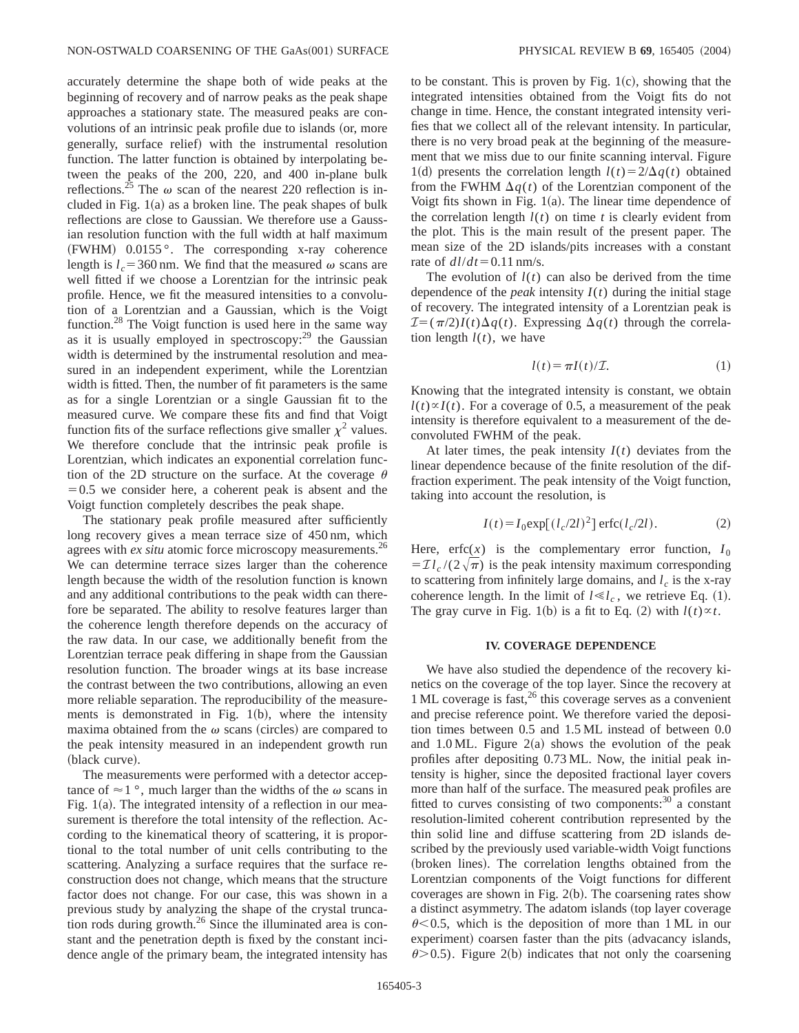accurately determine the shape both of wide peaks at the beginning of recovery and of narrow peaks as the peak shape approaches a stationary state. The measured peaks are convolutions of an intrinsic peak profile due to islands (or, more generally, surface relief) with the instrumental resolution function. The latter function is obtained by interpolating between the peaks of the 200, 220, and 400 in-plane bulk reflections.<sup>25</sup> The  $\omega$  scan of the nearest 220 reflection is included in Fig.  $1(a)$  as a broken line. The peak shapes of bulk reflections are close to Gaussian. We therefore use a Gaussian resolution function with the full width at half maximum  $(FWHM)$  0.0155 $^{\circ}$ . The corresponding x-ray coherence length is  $l_c = 360$  nm. We find that the measured  $\omega$  scans are well fitted if we choose a Lorentzian for the intrinsic peak profile. Hence, we fit the measured intensities to a convolution of a Lorentzian and a Gaussian, which is the Voigt function.28 The Voigt function is used here in the same way as it is usually employed in spectroscopy: $^{29}$  the Gaussian width is determined by the instrumental resolution and measured in an independent experiment, while the Lorentzian width is fitted. Then, the number of fit parameters is the same as for a single Lorentzian or a single Gaussian fit to the measured curve. We compare these fits and find that Voigt function fits of the surface reflections give smaller  $\chi^2$  values. We therefore conclude that the intrinsic peak profile is Lorentzian, which indicates an exponential correlation function of the 2D structure on the surface. At the coverage  $\theta$  $=0.5$  we consider here, a coherent peak is absent and the Voigt function completely describes the peak shape.

The stationary peak profile measured after sufficiently long recovery gives a mean terrace size of 450 nm, which agrees with *ex situ* atomic force microscopy measurements.<sup>26</sup> We can determine terrace sizes larger than the coherence length because the width of the resolution function is known and any additional contributions to the peak width can therefore be separated. The ability to resolve features larger than the coherence length therefore depends on the accuracy of the raw data. In our case, we additionally benefit from the Lorentzian terrace peak differing in shape from the Gaussian resolution function. The broader wings at its base increase the contrast between the two contributions, allowing an even more reliable separation. The reproducibility of the measurements is demonstrated in Fig.  $1(b)$ , where the intensity maxima obtained from the  $\omega$  scans (circles) are compared to the peak intensity measured in an independent growth run (black curve).

The measurements were performed with a detector acceptance of  $\approx$  1 °, much larger than the widths of the  $\omega$  scans in Fig.  $1(a)$ . The integrated intensity of a reflection in our measurement is therefore the total intensity of the reflection. According to the kinematical theory of scattering, it is proportional to the total number of unit cells contributing to the scattering. Analyzing a surface requires that the surface reconstruction does not change, which means that the structure factor does not change. For our case, this was shown in a previous study by analyzing the shape of the crystal truncation rods during growth. $^{26}$  Since the illuminated area is constant and the penetration depth is fixed by the constant incidence angle of the primary beam, the integrated intensity has to be constant. This is proven by Fig.  $1(c)$ , showing that the integrated intensities obtained from the Voigt fits do not change in time. Hence, the constant integrated intensity verifies that we collect all of the relevant intensity. In particular, there is no very broad peak at the beginning of the measurement that we miss due to our finite scanning interval. Figure 1(d) presents the correlation length  $l(t) = 2/\Delta q(t)$  obtained from the FWHM  $\Delta q(t)$  of the Lorentzian component of the Voigt fits shown in Fig.  $1(a)$ . The linear time dependence of the correlation length  $l(t)$  on time  $t$  is clearly evident from the plot. This is the main result of the present paper. The mean size of the 2D islands/pits increases with a constant rate of  $dl/dt$ =0.11 nm/s.

The evolution of  $l(t)$  can also be derived from the time dependence of the *peak* intensity  $I(t)$  during the initial stage of recovery. The integrated intensity of a Lorentzian peak is  $\mathcal{I} = (\pi/2)I(t)\Delta q(t)$ . Expressing  $\Delta q(t)$  through the correlation length  $l(t)$ , we have

$$
l(t) = \pi I(t)/\mathcal{I}.
$$
 (1)

Knowing that the integrated intensity is constant, we obtain  $l(t) \propto I(t)$ . For a coverage of 0.5, a measurement of the peak intensity is therefore equivalent to a measurement of the deconvoluted FWHM of the peak.

At later times, the peak intensity  $I(t)$  deviates from the linear dependence because of the finite resolution of the diffraction experiment. The peak intensity of the Voigt function, taking into account the resolution, is

$$
I(t) = I_0 \exp[(l_c/2l)^2] \operatorname{erfc}(l_c/2l). \tag{2}
$$

Here, erfc $(x)$  is the complementary error function,  $I_0$  $= \mathcal{I} l_c / (2 \sqrt{\pi})$  is the peak intensity maximum corresponding to scattering from infinitely large domains, and  $l_c$  is the x-ray coherence length. In the limit of  $l \ll l_c$ , we retrieve Eq. (1). The gray curve in Fig. 1(b) is a fit to Eq. (2) with  $l(t) \propto t$ .

#### **IV. COVERAGE DEPENDENCE**

We have also studied the dependence of the recovery kinetics on the coverage of the top layer. Since the recovery at  $1 \text{ ML}$  coverage is fast,  $26 \text{ this coverage serves as a convenient}$ and precise reference point. We therefore varied the deposition times between 0.5 and 1.5 ML instead of between 0.0 and 1.0 ML. Figure  $2(a)$  shows the evolution of the peak profiles after depositing 0.73 ML. Now, the initial peak intensity is higher, since the deposited fractional layer covers more than half of the surface. The measured peak profiles are fitted to curves consisting of two components: $30^{\circ}$  a constant resolution-limited coherent contribution represented by the thin solid line and diffuse scattering from 2D islands described by the previously used variable-width Voigt functions (broken lines). The correlation lengths obtained from the Lorentzian components of the Voigt functions for different coverages are shown in Fig.  $2(b)$ . The coarsening rates show a distinct asymmetry. The adatom islands (top layer coverage  $\theta$  < 0.5, which is the deposition of more than 1 ML in our experiment) coarsen faster than the pits (advacancy islands,  $\theta$  > 0.5). Figure 2(b) indicates that not only the coarsening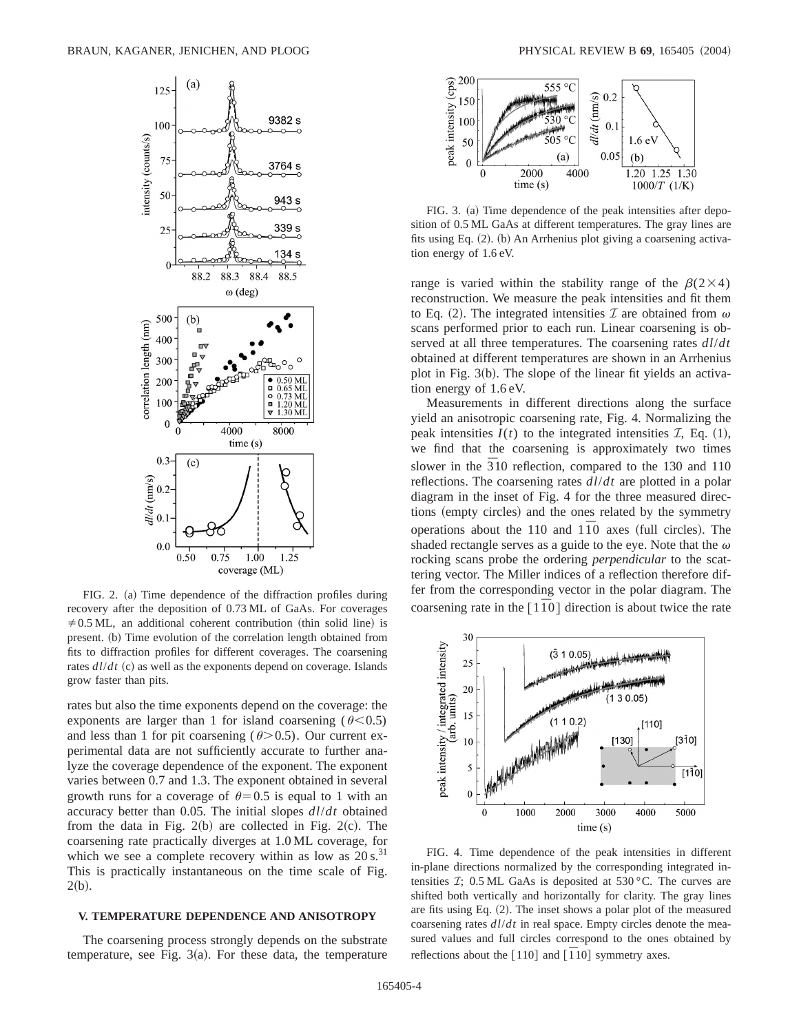

FIG. 2. (a) Time dependence of the diffraction profiles during recovery after the deposition of 0.73 ML of GaAs. For coverages  $\neq$  0.5 ML, an additional coherent contribution (thin solid line) is present. (b) Time evolution of the correlation length obtained from fits to diffraction profiles for different coverages. The coarsening rates  $dl/dt$  (c) as well as the exponents depend on coverage. Islands grow faster than pits.

rates but also the time exponents depend on the coverage: the exponents are larger than 1 for island coarsening ( $\theta$ <0.5) and less than 1 for pit coarsening  $(\theta > 0.5)$ . Our current experimental data are not sufficiently accurate to further analyze the coverage dependence of the exponent. The exponent varies between 0.7 and 1.3. The exponent obtained in several growth runs for a coverage of  $\theta$ =0.5 is equal to 1 with an accuracy better than 0.05. The initial slopes *dl*/*dt* obtained from the data in Fig.  $2(b)$  are collected in Fig.  $2(c)$ . The coarsening rate practically diverges at 1.0 ML coverage, for which we see a complete recovery within as low as  $20 s<sup>31</sup>$ This is practically instantaneous on the time scale of Fig.  $2(b).$ 

## **V. TEMPERATURE DEPENDENCE AND ANISOTROPY**

The coarsening process strongly depends on the substrate temperature, see Fig.  $3(a)$ . For these data, the temperature



FIG. 3. (a) Time dependence of the peak intensities after deposition of 0.5 ML GaAs at different temperatures. The gray lines are fits using Eq.  $(2)$ .  $(b)$  An Arrhenius plot giving a coarsening activation energy of 1.6 eV.

range is varied within the stability range of the  $\beta(2\times4)$ reconstruction. We measure the peak intensities and fit them to Eq. (2). The integrated intensities  $\mathcal I$  are obtained from  $\omega$ scans performed prior to each run. Linear coarsening is observed at all three temperatures. The coarsening rates *dl*/*dt* obtained at different temperatures are shown in an Arrhenius plot in Fig.  $3(b)$ . The slope of the linear fit yields an activation energy of 1.6 eV.

Measurements in different directions along the surface yield an anisotropic coarsening rate, Fig. 4. Normalizing the peak intensities  $I(t)$  to the integrated intensities  $I$ , Eq.  $(1)$ , we find that the coarsening is approximately two times slower in the  $\overline{3}10$  reflection, compared to the 130 and 110 reflections. The coarsening rates *dl*/*dt* are plotted in a polar diagram in the inset of Fig. 4 for the three measured directions (empty circles) and the ones related by the symmetry operations about the 110 and  $1\overline{1}0$  axes (full circles). The shaded rectangle serves as a guide to the eye. Note that the  $\omega$ rocking scans probe the ordering *perpendicular* to the scattering vector. The Miller indices of a reflection therefore differ from the corresponding vector in the polar diagram. The coarsening rate in the  $\lceil 1\bar{1}0 \rceil$  direction is about twice the rate



FIG. 4. Time dependence of the peak intensities in different in-plane directions normalized by the corresponding integrated intensities  $\mathcal{I}$ ; 0.5 ML GaAs is deposited at 530 °C. The curves are shifted both vertically and horizontally for clarity. The gray lines are fits using Eq.  $(2)$ . The inset shows a polar plot of the measured coarsening rates *dl*/*dt* in real space. Empty circles denote the measured values and full circles correspond to the ones obtained by reflections about the  $[110]$  and  $[\overline{1}10]$  symmetry axes.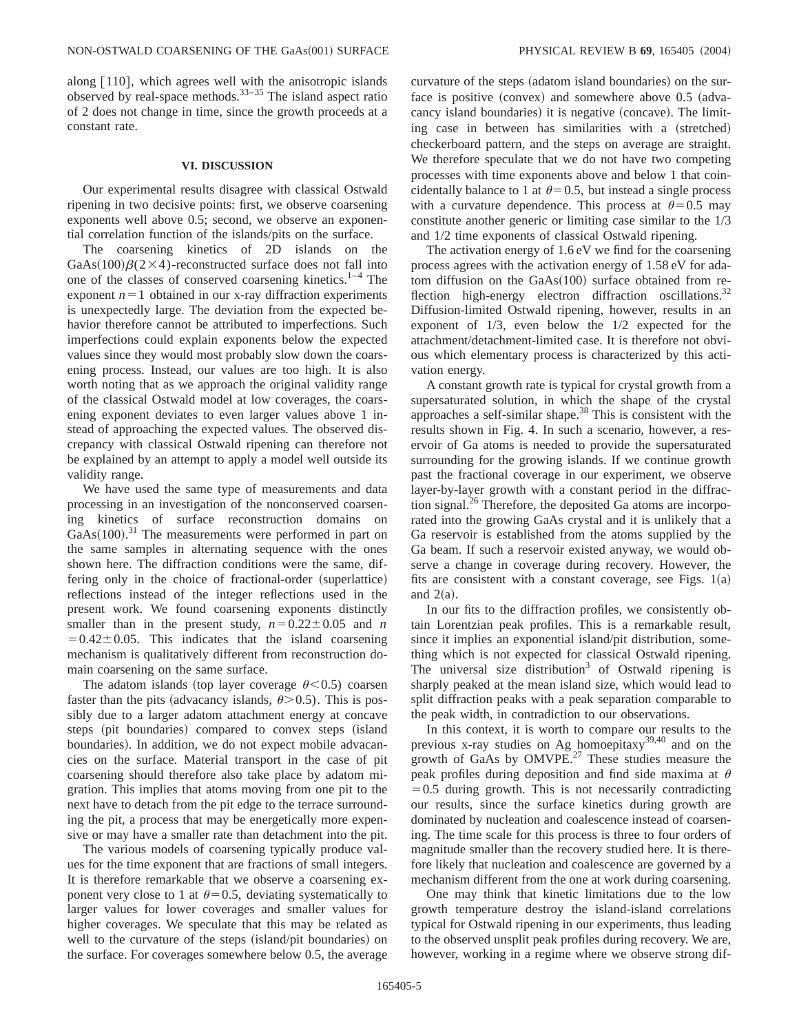along  $[110]$ , which agrees well with the anisotropic islands observed by real-space methods. $33-35$  The island aspect ratio of 2 does not change in time, since the growth proceeds at a constant rate.

## **VI. DISCUSSION**

Our experimental results disagree with classical Ostwald ripening in two decisive points: first, we observe coarsening exponents well above 0.5; second, we observe an exponential correlation function of the islands/pits on the surface.

The coarsening kinetics of 2D islands on the GaAs $(100)$  $\beta$ (2×4)-reconstructed surface does not fall into one of the classes of conserved coarsening kinetics.<sup>1–4</sup> The exponent  $n=1$  obtained in our x-ray diffraction experiments is unexpectedly large. The deviation from the expected behavior therefore cannot be attributed to imperfections. Such imperfections could explain exponents below the expected values since they would most probably slow down the coarsening process. Instead, our values are too high. It is also worth noting that as we approach the original validity range of the classical Ostwald model at low coverages, the coarsening exponent deviates to even larger values above 1 instead of approaching the expected values. The observed discrepancy with classical Ostwald ripening can therefore not be explained by an attempt to apply a model well outside its validity range.

We have used the same type of measurements and data processing in an investigation of the nonconserved coarsening kinetics of surface reconstruction domains on  $GaAs(100).$ <sup>31</sup> The measurements were performed in part on the same samples in alternating sequence with the ones shown here. The diffraction conditions were the same, differing only in the choice of fractional-order (superlattice) reflections instead of the integer reflections used in the present work. We found coarsening exponents distinctly smaller than in the present study,  $n=0.22\pm0.05$  and *n*  $=0.42\pm0.05$ . This indicates that the island coarsening mechanism is qualitatively different from reconstruction domain coarsening on the same surface.

The adatom islands (top layer coverage  $\theta$  < 0.5) coarsen faster than the pits (advacancy islands,  $\theta$  > 0.5). This is possibly due to a larger adatom attachment energy at concave steps (pit boundaries) compared to convex steps (island boundaries). In addition, we do not expect mobile advacancies on the surface. Material transport in the case of pit coarsening should therefore also take place by adatom migration. This implies that atoms moving from one pit to the next have to detach from the pit edge to the terrace surrounding the pit, a process that may be energetically more expensive or may have a smaller rate than detachment into the pit.

The various models of coarsening typically produce values for the time exponent that are fractions of small integers. It is therefore remarkable that we observe a coarsening exponent very close to 1 at  $\theta$ =0.5, deviating systematically to larger values for lower coverages and smaller values for higher coverages. We speculate that this may be related as well to the curvature of the steps (island/pit boundaries) on the surface. For coverages somewhere below 0.5, the average curvature of the steps (adatom island boundaries) on the surface is positive  $(convex)$  and somewhere above 0.5  $(adva$ cancy island boundaries) it is negative (concave). The limiting case in between has similarities with a (stretched) checkerboard pattern, and the steps on average are straight. We therefore speculate that we do not have two competing processes with time exponents above and below 1 that coincidentally balance to 1 at  $\theta$ =0.5, but instead a single process with a curvature dependence. This process at  $\theta$ =0.5 may constitute another generic or limiting case similar to the 1/3 and 1/2 time exponents of classical Ostwald ripening.

The activation energy of 1.6 eV we find for the coarsening process agrees with the activation energy of 1.58 eV for adatom diffusion on the  $GaAs(100)$  surface obtained from reflection high-energy electron diffraction oscillations.<sup>32</sup> Diffusion-limited Ostwald ripening, however, results in an exponent of 1/3, even below the 1/2 expected for the attachment/detachment-limited case. It is therefore not obvious which elementary process is characterized by this activation energy.

A constant growth rate is typical for crystal growth from a supersaturated solution, in which the shape of the crystal approaches a self-similar shape.<sup>38</sup> This is consistent with the results shown in Fig. 4. In such a scenario, however, a reservoir of Ga atoms is needed to provide the supersaturated surrounding for the growing islands. If we continue growth past the fractional coverage in our experiment, we observe layer-by-layer growth with a constant period in the diffraction signal.<sup>26</sup> Therefore, the deposited Ga atoms are incorporated into the growing GaAs crystal and it is unlikely that a Ga reservoir is established from the atoms supplied by the Ga beam. If such a reservoir existed anyway, we would observe a change in coverage during recovery. However, the fits are consistent with a constant coverage, see Figs.  $1(a)$ and  $2(a)$ .

In our fits to the diffraction profiles, we consistently obtain Lorentzian peak profiles. This is a remarkable result, since it implies an exponential island/pit distribution, something which is not expected for classical Ostwald ripening. The universal size distribution<sup>3</sup> of Ostwald ripening is sharply peaked at the mean island size, which would lead to split diffraction peaks with a peak separation comparable to the peak width, in contradiction to our observations.

In this context, it is worth to compare our results to the previous x-ray studies on Ag homoepitaxy $39,40$  and on the growth of GaAs by  $OMVPE.<sup>27</sup>$  These studies measure the peak profiles during deposition and find side maxima at  $\theta$  $=0.5$  during growth. This is not necessarily contradicting our results, since the surface kinetics during growth are dominated by nucleation and coalescence instead of coarsening. The time scale for this process is three to four orders of magnitude smaller than the recovery studied here. It is therefore likely that nucleation and coalescence are governed by a mechanism different from the one at work during coarsening.

One may think that kinetic limitations due to the low growth temperature destroy the island-island correlations typical for Ostwald ripening in our experiments, thus leading to the observed unsplit peak profiles during recovery. We are, however, working in a regime where we observe strong dif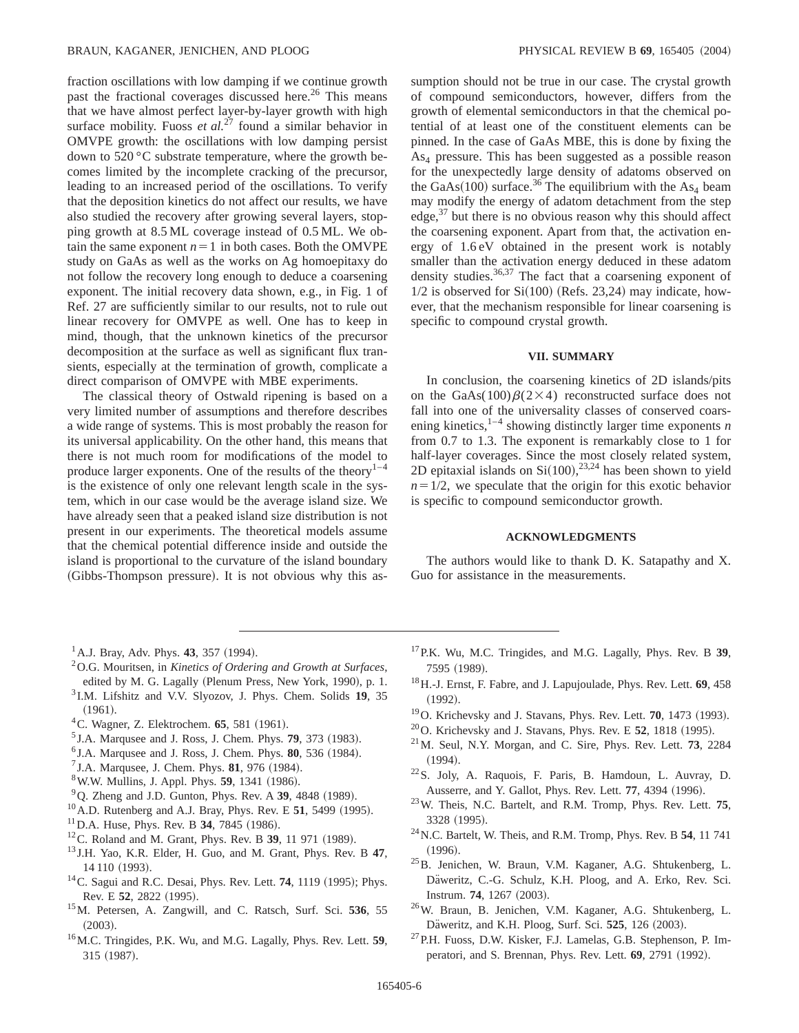fraction oscillations with low damping if we continue growth past the fractional coverages discussed here.<sup>26</sup> This means that we have almost perfect layer-by-layer growth with high surface mobility. Fuoss *et al.*<sup>27</sup> found a similar behavior in OMVPE growth: the oscillations with low damping persist down to 520 °C substrate temperature, where the growth becomes limited by the incomplete cracking of the precursor, leading to an increased period of the oscillations. To verify that the deposition kinetics do not affect our results, we have also studied the recovery after growing several layers, stopping growth at 8.5 ML coverage instead of 0.5 ML. We obtain the same exponent  $n=1$  in both cases. Both the OMVPE study on GaAs as well as the works on Ag homoepitaxy do not follow the recovery long enough to deduce a coarsening exponent. The initial recovery data shown, e.g., in Fig. 1 of Ref. 27 are sufficiently similar to our results, not to rule out linear recovery for OMVPE as well. One has to keep in mind, though, that the unknown kinetics of the precursor decomposition at the surface as well as significant flux transients, especially at the termination of growth, complicate a direct comparison of OMVPE with MBE experiments.

The classical theory of Ostwald ripening is based on a very limited number of assumptions and therefore describes a wide range of systems. This is most probably the reason for its universal applicability. On the other hand, this means that there is not much room for modifications of the model to produce larger exponents. One of the results of the theory $1-4$ is the existence of only one relevant length scale in the system, which in our case would be the average island size. We have already seen that a peaked island size distribution is not present in our experiments. The theoretical models assume that the chemical potential difference inside and outside the island is proportional to the curvature of the island boundary (Gibbs-Thompson pressure). It is not obvious why this assumption should not be true in our case. The crystal growth of compound semiconductors, however, differs from the growth of elemental semiconductors in that the chemical potential of at least one of the constituent elements can be pinned. In the case of GaAs MBE, this is done by fixing the As4 pressure. This has been suggested as a possible reason for the unexpectedly large density of adatoms observed on the GaAs $(100)$  surface.<sup>36</sup> The equilibrium with the As<sub>4</sub> beam may modify the energy of adatom detachment from the step edge, $37$  but there is no obvious reason why this should affect the coarsening exponent. Apart from that, the activation energy of 1.6 eV obtained in the present work is notably smaller than the activation energy deduced in these adatom density studies.<sup>36,37</sup> The fact that a coarsening exponent of  $1/2$  is observed for Si $(100)$  (Refs. 23,24) may indicate, however, that the mechanism responsible for linear coarsening is specific to compound crystal growth.

## **VII. SUMMARY**

In conclusion, the coarsening kinetics of 2D islands/pits on the GaAs(100) $\beta(2\times4)$  reconstructed surface does not fall into one of the universality classes of conserved coarsening kinetics,<sup>1–4</sup> showing distinctly larger time exponents  $n$ from 0.7 to 1.3. The exponent is remarkably close to 1 for half-layer coverages. Since the most closely related system, 2D epitaxial islands on  $Si(100)$ ,  $^{23,24}$  has been shown to yield  $n=1/2$ , we speculate that the origin for this exotic behavior is specific to compound semiconductor growth.

### **ACKNOWLEDGMENTS**

The authors would like to thank D. K. Satapathy and X. Guo for assistance in the measurements.

- $^{1}$ A.J. Bray, Adv. Phys. **43**, 357 (1994).
- 2O.G. Mouritsen, in *Kinetics of Ordering and Growth at Surfaces*, edited by M. G. Lagally (Plenum Press, New York, 1990), p. 1.
- <sup>3</sup> I.M. Lifshitz and V.V. Slyozov, J. Phys. Chem. Solids **19**, 35  $(1961).$
- <sup>4</sup>C. Wagner, Z. Elektrochem. **65**, 581 (1961).
- <sup>5</sup> J.A. Marqusee and J. Ross, J. Chem. Phys. **79**, 373 (1983).
- ${}^{6}$  J.A. Marqusee and J. Ross, J. Chem. Phys.  $80, 536$  (1984).
- ${}^{7}$  J.A. Marqusee, J. Chem. Phys. **81**, 976 (1984).
- <sup>8</sup> W.W. Mullins, J. Appl. Phys. **59**, 1341 (1986).
- $^{9}$ Q. Zheng and J.D. Gunton, Phys. Rev. A 39, 4848 (1989).
- $^{10}$  A.D. Rutenberg and A.J. Bray, Phys. Rev. E 51, 5499 (1995).
- $11$  D.A. Huse, Phys. Rev. B 34, 7845 (1986).
- <sup>12</sup>C. Roland and M. Grant, Phys. Rev. B **39**, 11 971 (1989).
- <sup>13</sup> J.H. Yao, K.R. Elder, H. Guo, and M. Grant, Phys. Rev. B **47**, 14 110 (1993).
- $14$ C. Sagui and R.C. Desai, Phys. Rev. Lett. **74**, 1119 (1995); Phys. Rev. E 52, 2822 (1995).
- 15M. Petersen, A. Zangwill, and C. Ratsch, Surf. Sci. **536**, 55  $(2003).$
- 16M.C. Tringides, P.K. Wu, and M.G. Lagally, Phys. Rev. Lett. **59**, 315 (1987).
- 17P.K. Wu, M.C. Tringides, and M.G. Lagally, Phys. Rev. B **39**, 7595 (1989).
- 18H.-J. Ernst, F. Fabre, and J. Lapujoulade, Phys. Rev. Lett. **69**, 458  $(1992).$
- <sup>19</sup>O. Krichevsky and J. Stavans, Phys. Rev. Lett. **70**, 1473 (1993).
- $^{20}$ O. Krichevsky and J. Stavans, Phys. Rev. E 52, 1818 (1995).
- 21M. Seul, N.Y. Morgan, and C. Sire, Phys. Rev. Lett. **73**, 2284  $(1994).$
- 22S. Joly, A. Raquois, F. Paris, B. Hamdoun, L. Auvray, D. Ausserre, and Y. Gallot, Phys. Rev. Lett. 77, 4394 (1996).
- 23W. Theis, N.C. Bartelt, and R.M. Tromp, Phys. Rev. Lett. **75**, 3328 (1995).
- 24N.C. Bartelt, W. Theis, and R.M. Tromp, Phys. Rev. B **54**, 11 741  $(1996)$ .
- 25B. Jenichen, W. Braun, V.M. Kaganer, A.G. Shtukenberg, L. Däweritz, C.-G. Schulz, K.H. Ploog, and A. Erko, Rev. Sci. Instrum. **74**, 1267 (2003).
- 26W. Braun, B. Jenichen, V.M. Kaganer, A.G. Shtukenberg, L. Däweritz, and K.H. Ploog, Surf. Sci. 525, 126 (2003).
- 27P.H. Fuoss, D.W. Kisker, F.J. Lamelas, G.B. Stephenson, P. Imperatori, and S. Brennan, Phys. Rev. Lett. **69**, 2791 (1992).